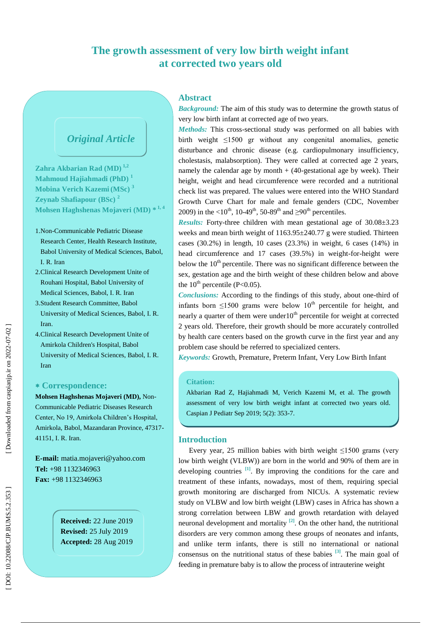# **The growth assessment of very low birth weight infant at corrected two years old**

# *Original Article*

**Zahra Akbarian Rad (MD) 1,2 Mahmoud Hajiahmadi (PhD) 1 Mobina Verich Kazemi (MSc ) 3 Zeynab Shafiapour (BSc ) 2 Mohsen Haghshenas Mojaveri (MD) \* 1, 4**

- 1 .Non -Communicable Pediatric Disease Research Center, Health Research Institute, Babol University of Medical Sciences, Babol, I. R. Iran
- 2 .Clinical Research Development Unite of Rouhani Hospital, Babol University of Medical Sciences, Babol, I. R. Iran
- 3 .Student Research Committee, Babol University of Medical Sciences, Babol, I. R. Iran.
- 4 .Clinical Research Development Unite of Amirkola Children's Hospital, Babol University of Medical Sciences, Babol, I. R. Iran

## **Correspondence:**

**Mohsen Haghshenas Mojaveri (MD),** Non - Communicable Pediatric Diseases Research Center, No 19, Amirkola Children's Hospital, Amirkola, Babol, Mazandaran Province, 47317 - 41151, I. R . Iran.

**E -mail:** matia.mojaveri@yahoo.com **Tel:** +98 1132346963 **Fax:** +98 1132346963

> **Received:**  2 2 June 201 9 **Revised:** 25 July 201 9 **Accepted:** 28 Aug 201 9

## **Abstract**

*Background:* The aim of this study was to determine the growth status of very low birth infant at corrected age of two years.

*Methods:* This cross -sectional study was performed on all babies with birth weight ≤1500 gr without any congenital anomalies, genetic disturbance and chronic disease (e.g. cardiopulmonary insufficiency, cholestasis, malabsorption). They were called at corrected age 2 years, namely the calendar age by month + (40 -gestational age by week). Their height, weight and head circumference were recorded and a nutritional check list was prepared. The values were entered into the WHO Standard Growth Curve Chart for male and female genders (CDC, November 2009) in the <10<sup>th</sup>, 10-49<sup>th</sup>, 50-89<sup>th</sup> and ≥90<sup>th</sup> percentiles.

**Results:** Forty-three children with mean gestational age of 30.08±3.23 weeks and mean birth weight of 1163.95±240.77 g were studied. Thirteen cases (30.2%) in length, 10 cases (23.3%) in weight, 6 cases (14%) in head circumference and 17 cases (39.5%) in weight-for-height were below the  $10<sup>th</sup>$  percentile. There was no significant difference between the sex, gestation age and the birth weight of these children below and above the  $10^{th}$  percentile (P<0.05).

*Conclusions:* According to the findings of this study, about one -third of infants born  $\leq 1500$  grams were below  $10<sup>th</sup>$  percentile for height, and nearly a quarter of them were under  $10<sup>th</sup>$  percentile for weight at corrected 2 years old. Therefore, their growth should be more accurately controlled by health care centers based on the growth curve in the first year and any problem case should be referred to specialized centers.

*Keywords:* Growth, Premature, Preterm Infant, Very Low Birth Infant

## **Citation:**

Akbarian Rad Z, Hajiahmadi M, Verich Kazemi M, et al. The growth assessment of very low birth weight infant at corrected two years old. Caspian J Pediatr Sep 2019; 5(2): 353-7.

## **Introduction**

Every year, 25 million babies with birth weight ≤1500 grams (very low birth weight (VLBW)) are born in the world and 90% of them are in developing countries  $\begin{bmatrix} 1 \end{bmatrix}$ . By improving the conditions for the care and treatment of these infants, nowadays, most of them, requiring special growth monitoring are discharged from NICUs. A systematic review study on VLBW and low birth weight (LBW) cases in Africa has shown a strong correlation between LBW and growth retardation with delayed neuronal development and mortality  $[2]$ . On the other hand, the nutritional disorders are very common among these groups of neonates and infants, and unlike term infants, there is still no international or national consensus on the nutritional status of these babies  $[3]$ . The main goal of feeding in premature baby is to allow the process of intrauterine weight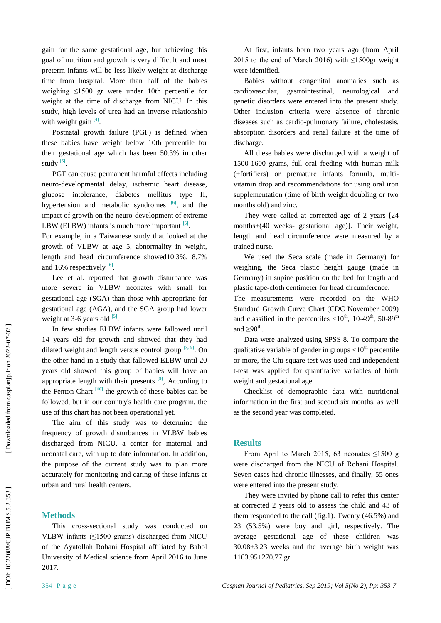gain for the same gestational age, but achieving this goal of nutrition and growth is very difficult and most preterm infants will be less likely weight at discharge time from hospital. More than half of the babies weighing ≤1500 gr were under 10th percentile for weight at the time of discharge from NICU. In this study, high levels of urea had an inverse relationship with weight gain  $^{[4]}$ .

Postnatal growth failure (PGF) is defined when these babies have weight below 10th percentile for their gestational age which has been 50.3% in other study  $^{[5]}$ .

PGF can cause permanent harmful effects including neuro -developmental delay, ischemic heart disease, glucose intolerance, diabetes mellitus type II, hypertension and metabolic syndromes **[ 6 ]** , and the impact of growth on the neuro -development of extreme LBW (ELBW) infants is much more important  $[5]$ .

For example, in a Taiwanese study that looked at the growth of VLBW at age 5, abnormality in weight, length and head circumference showed10.3%, 8.7% and 16% respectively <sup>[6]</sup>.

Lee et al. reported that growth disturbance was more severe in VLBW neonates with small for gestational age (SGA) than those with appropriate for gestational age (AGA), and the SGA group had lower weight at 3-6 years old <sup>[5]</sup>.

In few studies ELBW infants were fallowed until 14 years old for growth and showed that they had dilated weight and length versus control group  $[7, 8]$ . On the other hand in a study that fallowed ELBW until 20 years old showed this group of babies will have an appropriate length with their presents  $[9]$ , According to the Fenton Chart  $\frac{[10]}{[10]}$  the growth of these babies can be followed, but in our country's health care program, the use of this chart has not been operational yet.

The aim of this study was to determine the frequency of growth disturbances in VLBW babies discharged from NICU, a center for maternal and neonatal care, with up to date information. In addition, the purpose of the current study was to plan more accurately for monitoring and caring of these infants at urban and rural health centers.

# **Methods**

This cross -sectional study was conducted on VLBW infants  $(\leq1500 \text{ grams})$  discharged from NICU of the Ayatollah Rohani Hospital affiliated by Babol University of Medical science from April 2016 to June 2017.

At first, infants born two years ago (from April 2015 to the end of March 2016) with  $\leq 1500$ gr weight were identified.

Babies without congenital anomalies such as cardiovascular, gastrointestinal, neurological and genetic disorders were entered into the present study. Other inclusion criteria were absence of chronic diseases such as cardio -pulmonary failure, cholestasis, absorption disorders and renal failure at the time of discharge.

All these babies were discharged with a weight of 1500 -1600 grams, full oral feeding with human milk (±fortifiers) or premature infants formula, multi vitamin drop and recommendations for using oral iron supplementation (time of birth weight doubling or two months old) and zinc.

They were called at corrected age of 2 years [24 months+(40 weeks - gestational age)] . Their weight, length and head circumference were measured by a trained nurse.

We used the Seca scale (made in Germany) for weighing, the Seca plastic height gauge (made in Germany) in supine position on the bed for length and plastic tape -cloth centimeter for head circumference.

The measurements were recorded on the WHO Standard Growth Curve Chart (CDC November 2009) and classified in the percentiles  $\langle 10^{th}, 10{-}49^{th}, 50{-}89^{th}$ and  $\geq 90^{\text{th}}$ .

Data were analyzed using SPSS 8. To compare the qualitative variable of gender in groups  $\langle 10^{th}$  percentile or more, the Chi -square test was used and independent t -test was applied for quantitative variables of birth weight and gestational age.

Checklist of demographic data with nutritional information in the first and second six months, as well as the second year was completed.

### **Results**

From April to March 2015, 63 neonates  $\leq 1500$  g were discharged from the NICU of Rohani Hospital . Seven cases had chronic illnesses, and finally, 55 ones were entered into the present study.

They were invited by phone call to refer this center at corrected 2 years old to assess the child and 43 of them responded to the call (fig.1). Twenty  $(46.5\%)$  and 23 (53.5%) were boy and girl, respectively. The average gestational age of these children was  $30.08\pm3.23$  weeks and the average birth weight was 1163.95±270.77 gr.

Downloaded from caspianjp.ir on 2022-07-02 ]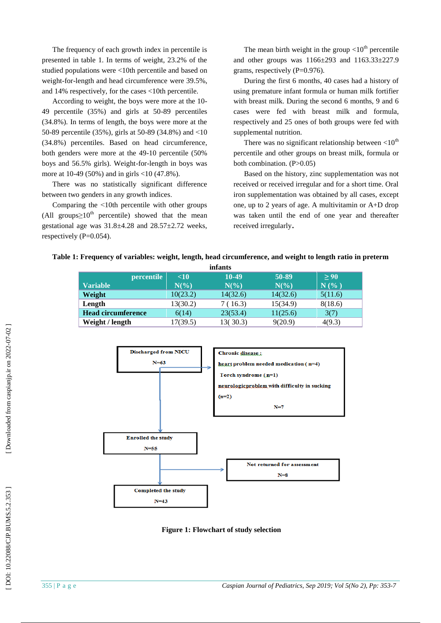The frequency of each growth index in percentile is presented in table 1. In terms of weight, 23.2% of the studied populations were <10th percentile and based on weight -for -length and head circumference were 39.5%, and 14% respectively, for the cases <10th percentile.

According to weight, the boys were more at the 10 - 49 percentile (35%) and girls at 50 -89 percentiles (34.8%). In terms of length, the boys were more at the 50 -89 percentile (35%) , girls at 50 -89 (34.8%) and >10 (34.8%) percentiles. Based on head circumference, both genders were more at the 49 -10 percentile (50% boys and 56.5% girls). Weight -for -length in boys was more at 10 -49 (50%) and in girls <10 (47.8%).

There was no statistically significant difference between two genders in any growth indices .

Comparing the >10th percentile with other groups (All groups $\geq 10^{th}$  percentile) showed that the mean gestational age was  $31.8 \pm 4.28$  and  $28.57 \pm 2.72$  weeks. respectively (P=0.054).

The mean birth weight in the group  $\langle 10^{th}$  percentile and other groups was  $1166 \pm 293$  and  $1163.33 \pm 227.9$ grams, respectively  $(P=0.976)$ .

During the first 6 months, 40 cases had a history of using premature infant formula or human milk fortifier with breast milk. During the second 6 months, 9 and 6 cases were fed with breast milk and formula, respectively and 25 ones of both groups were fed with supplemental nutrition.

There was no significant relationship between  $<$ 10<sup>th</sup> percentile and other groups on breast milk, formula or both combination. (P>0.05)

Based on the history, zinc supplementation was not received or received irregular and for a short time. Oral iron supplementation was obtained by all cases, except one, up to 2 years of age. A multivitamin or A+D drop was taken until the end of one year and thereafter received irregularly .

|  | Table 1: Frequency of variables: weight, length, head circumference, and weight to length ratio in preterm |  |  |  |
|--|------------------------------------------------------------------------------------------------------------|--|--|--|
|  |                                                                                                            |  |  |  |

| infants                   |                 |                 |          |                                  |  |  |  |  |  |
|---------------------------|-----------------|-----------------|----------|----------------------------------|--|--|--|--|--|
| <i>percentile</i>         | $\leq 10$       | 10-49           | 50-89    | > 90                             |  |  |  |  |  |
| <b>Variable</b>           | $N\binom{0}{0}$ | $N\binom{0}{0}$ | $N(\%)$  | $N$ $\left( \frac{9}{6} \right)$ |  |  |  |  |  |
| Weight                    | 10(23.2)        | 14(32.6)        | 14(32.6) | 5(11.6)                          |  |  |  |  |  |
| Length                    | 13(30.2)        | 7 (16.3)        | 15(34.9) | 8(18.6)                          |  |  |  |  |  |
| <b>Head circumference</b> | 6(14)           | 23(53.4)        | 11(25.6) | 3(7)                             |  |  |  |  |  |
| Weight / length           | 17(39.5)        | 13(30.3)        | 9(20.9)  | 4(9.3)                           |  |  |  |  |  |



**Figure 1: Flowchart of study selection**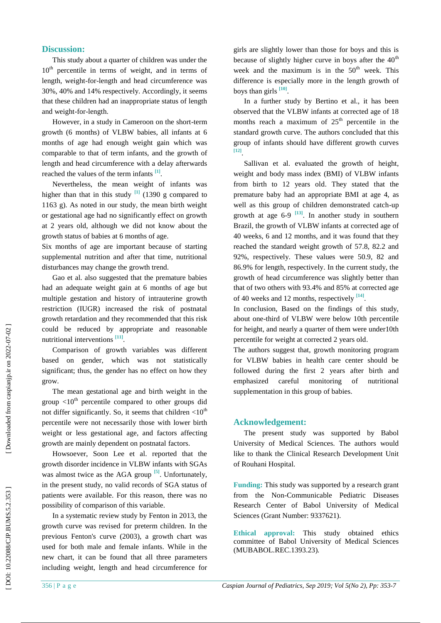#### **Discussion:**

This study about a quarter of children was under the  $10<sup>th</sup>$  percentile in terms of weight, and in terms of length, weight -for -length and head circumference was 30%, 40% and 14% respectively. Accordingly, it seems that these children had an inappropriate status of length and weight -for -length.

However, in a study in Cameroon on the short -term growth (6 months) of VLBW babies, all infants at 6 months of age had enough weight gain which was comparable to that of term infants, and the growth of length and head circumference with a delay afterwards reached the values of the term infants  $^{[1]}$ .

Nevertheless, the mean weight of infants was higher than that in this study  $\begin{bmatrix} 1 \end{bmatrix}$  (1390 g compared to 1163 g). As noted in our study, the mean birth weight or gestational age had no significantly effect on growth at 2 years old, although we did not know about the growth status of babies at 6 months of age.

Six months of age are important because of starting supplemental nutrition and after that time, nutritional disturbances may change the growth trend.

Gao et al. also suggested that the premature babies had an adequate weight gain at 6 months of age but multiple gestation and history of intrauterine growth restriction (IUGR) increased the risk of postnatal growth retardation and they recommended that this risk could be reduced by appropriate and reasonable nutritional interventions [11].

Comparison of growth variables was different based on gender, which was not statistically significant; thus, the gender has no effect on how they grow.

The mean gestational age and birth weight in the group  $\langle 10^{th}$  percentile compared to other groups did not differ significantly. So, it seems that children  $\langle 10^{th}$ percentile were not necessarily those with lower birth weight or less gestational age, and factors affecting growth are mainly dependent on postnatal factors .

Howsoever, Soon Lee et al. reported that the growth disorder incidence in VLBW infants with SGAs was almost twice as the AGA group <sup>[5]</sup>. Unfortunately, in the present study, no valid records of SGA status of patients were available. For this reason, there was no possibility of comparison of this variable.

In a systematic review study by Fenton in 2013, the growth curve was revised for preterm children. In the previous Fenton's curve (2003), a growth chart was used for both male and female infants. While in the new chart, it can be found that all three parameters including weight, length and head circumference for girls are slightly lower than those for boys and this is because of slightly higher curve in boys after the  $40<sup>th</sup>$ week and the maximum is in the  $50<sup>th</sup>$  week. This difference is especially more in the length growth of boys than girls **[10 ]** .

In a further study by Bertino et al., it has been observed that the VLBW infants at corrected age of 18 months reach a maximum of  $25<sup>th</sup>$  percentile in the standard growth curve. The authors concluded that this group of infants should have different growth curves **[12]**.

Sallivan et al. evaluated the growth of height , weight and body mass index (BMI) of VLBW infants from birth to 12 years old . They stated that the premature baby had an appropriate BMI at age 4, as well as this group of children demonstrated catch -up growth at age  $6-9$  <sup>[13]</sup>. In another study in southern Brazil, the growth of VLBW infants at corrected age of 40 weeks, 6 and 12 months, and it was found that they reached the standard weight growth of 57.8, 82.2 and 92%, respectively. These values were 50.9, 82 and 86.9% for length, respectively. In the current study, the growth of head circumference was slightly better than that of two others with 93.4% and 85% at corrected age of 40 weeks and 12 months, respectively <sup>[14]</sup>.

In conclusion, Based on the findings of this study, about one -third of VLBW were below 10th percentile for height, and nearly a quarter of them were under10th percentile for weight at corrected 2 years old .

The authors suggest that, growth monitoring program for VLBW babies in health care center should be followed during the first 2 years after birth and emphasized careful monitoring of nutritional supplementation in this group of babies.

## **Acknowledgement:**

The present study was supported by Babol University of Medical Sciences. The authors would like to thank the Clinical Research Development Unit of Rouhani Hospital.

**Funding:** This study was supported by a research grant from the Non -Communicable Pediatric Diseases Research Center of Babol University of Medical Sciences (Grant Number: 9337621).

**Ethical approval:** This study obtained ethics committee of Babol University of Medical Sciences (MUBABOL.REC.1393.23).